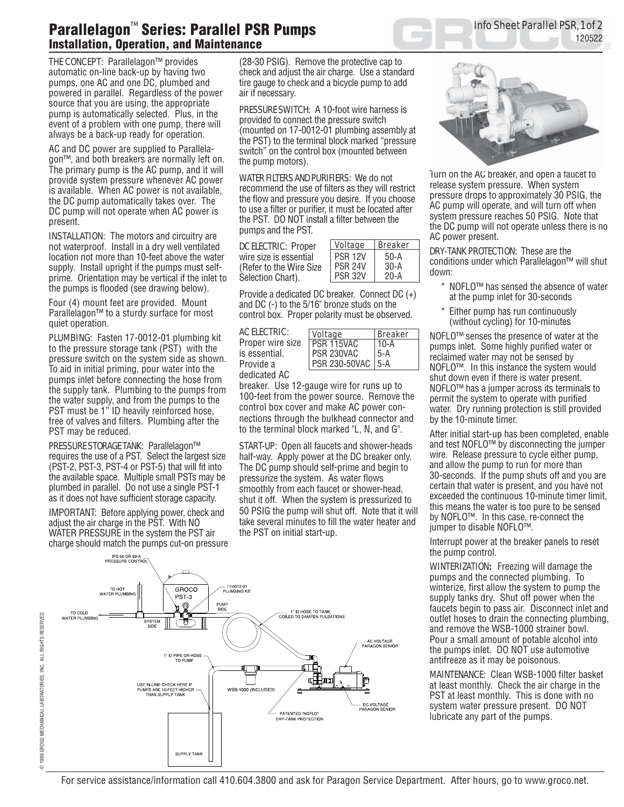## **Parallelagon**™ **Series: Parallel PSR Pumps Installation, Operation, and Maintenance**

THE CONCEPT: Parallelagon™ provides automatic on-line back-up by having two pumps, one AC and one DC, plumbed and powered in parallel. Regardless of the power source that you are using, the appropriate pump is automatically selected. Plus, in the event of a problem with one pump, there will always be a back-up ready for operation.

AC and DC power are supplied to Parallelagon™, and both breakers are normally left on. The primary pump is the AC pump, and it will provide system pressure whenever AC power is available. When AC power is not available, the DC pump automatically takes over. The DC pump will not operate when AC power is present.

INSTALLATION:The motors and circuitry are not waterproof. Install in a dry well ventilated location not more than 10-feet above the water supply. Install upright if the pumps must selfprime. Orientation may be vertical if the inlet to the pumps is flooded (see drawing below).

Four (4) mount feet are provided. Mount Parallelagon™ to a sturdy surface for most quiet operation.

PLUMBING:Fasten 17-0012-01 plumbing kit to the pressure storage tank (PST) with the pressure switch on the system side as shown. To aid in initial priming, pour water into the pumps inlet before connecting the hose from the supply tank. Plumbing to the pumps from the water supply, and from the pumps to the PST must be 1" ID heavily reinforced hose, free of valves and filters. Plumbing after the PST may be reduced.

PRESSURE STORAGE TANK:Parallelagon™ requires the use of a PST. Select the largest size (PST-2, PST-3, PST-4 or PST-5) that will fit into the available space. Multiple small PSTs may be plumbed in parallel. Do not use a single PST-1 as it does not have sufficient storage capacity.

IMPORTANT: Before applying power, check and adjust the air charge in the PST. With NO WATER PRESSURE in the system the PST air charge should match the pumps cut-on pressure (28-30 PSIG). Remove the protective cap to check and adjust the air charge. Use a standard tire gauge to check and a bicycle pump to add air if necessary.

PRESSURE SWITCH:A 10-foot wire harness is provided to connect the pressure switch (mounted on 17-0012-01 plumbing assembly at the PST) to the terminal block marked "pressure switch" on the control box (mounted between the pump motors).

WATER FILTERS AND PURIFIERS: We do not recommend the use of filters as they will restrict the flow and pressure you desire. If you choose to use a filter or purifier, it must be located after the PST. DO NOT install a filter between the pumps and the PST.

DC ELECTRIC: Proper wire size is essential (Refer to the Wire Size Selection Chart).

| <b>Voltage</b> | <b>Breaker</b> |
|----------------|----------------|
| <b>PSR 12V</b> | $50-A$         |
| <b>PSR 24V</b> | $30-A$         |
| <b>PSR 32V</b> | 20-A           |

Provide a dedicated DC breaker. Connect DC (+) and DC (-) to the 5/16" bronze studs on the control box. Proper polarity must be observed.

AC ELECTRIC: Proper wire size is essential. Provide a dedicated AC

| <b>Voltage</b>       | <b>Breaker</b> |
|----------------------|----------------|
| l PSR 115VAC         | $10-A$         |
| I PSR 230VAC         | $5-A$          |
| <b>PSR 230-50VAC</b> | l 5-A          |

breaker. Use 12-gauge wire for runs up to 100-feet from the power source. Remove the control box cover and make AC power connections through the bulkhead connector and to the terminal block marked "L, N, and G".

**START-UP:** Open all faucets and shower-heads half-way. Apply power at the DC breaker only. The DC pump should self-prime and begin to pressurize the system. As water flows smoothly from each faucet or shower-head, shut it off. When the system is pressurized to 50 PSIG the pump will shut off. Note that it will take several minutes to fill the water heater and the PST on initial start-up.





Info Sheet Parallel PSR, 1 of 2

120522

Turn on the AC breaker, and open a faucet to release system pressure. When system pressure drops to approximately 30 PSIG, the AC pump will operate, and will turn off when system pressure reaches 50 PSIG. Note that the DC pump will not operate unless there is no AC power present.

DRY-TANK PROTECTION: These are the conditions under which Parallelagon™ will shut down:

- \* NOFLO™ has sensed the absence of water at the pump inlet for 30-seconds
- Either pump has run continuously (without cycling) for 10-minutes

NOFLO™ senses the presence of water at the pumps inlet. Some highly purified water or reclaimed water may not be sensed by NOFLO™. In this instance the system would shut down even if there is water present. NOFLO™ has a jumper across its terminals to permit the system to operate with purified water. Dry running protection is still provided by the 10-minute timer.

After initial start-up has been completed, enable and test NOFLO™ by disconnecting the jumper wire. Release pressure to cycle either pump, and allow the pump to run for more than 30-seconds. If the pump shuts off and you are certain that water is present, and you have not exceeded the continuous 10-minute timer limit, this means the water is too pure to be sensed by NOFLO™. In this case, re-connect the jumper to disable NOFLO™.

Interrupt power at the breaker panels to reset the pump control.

WINTERIZATION**:** Freezing will damage the pumps and the connected plumbing. To winterize, first allow the system to pump the supply tanks dry. Shut off power when the faucets begin to pass air. Disconnect inlet and outlet hoses to drain the connecting plumbing, and remove the WSB-1000 strainer bowl. Pour a small amount of potable alcohol into the pumps inlet. DO NOT use automotive antifreeze as it may be poisonous.

MAINTENANCE:Clean WSB-1000 filter basket at least monthly. Check the air charge in the PST at least monthly. This is done with no system water pressure present. DO NOT lubricate any part of the pumps.